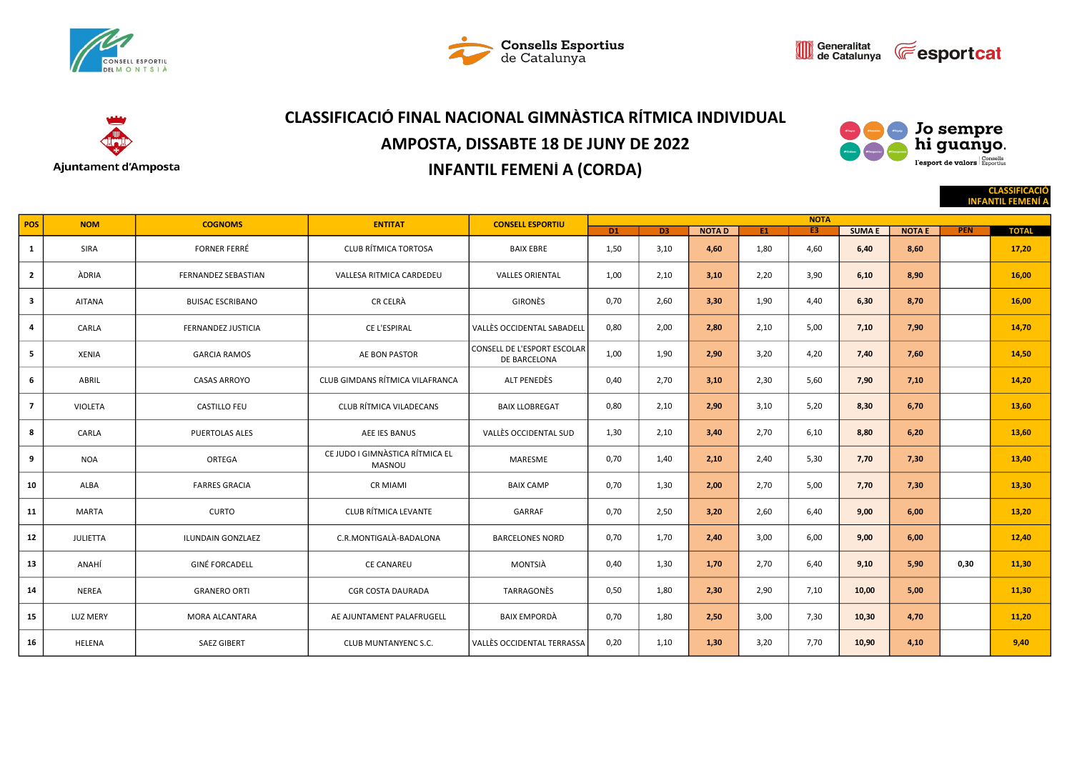







# CLASSIFICACIÓ FINAL NACIONAL GIMNÀSTICA RÍTMICA INDIVIDUAL AMPOSTA, DISSABTE 18 DE JUNY DE 2022 INFANTIL FEMENÍ A (CORDA)



CLASSIFICACIÓ

|                         |                 |                            |                                           |                                             |             |      |              |      |                |              |               |            | <b>INFANTIL FEMENI A</b> |  |
|-------------------------|-----------------|----------------------------|-------------------------------------------|---------------------------------------------|-------------|------|--------------|------|----------------|--------------|---------------|------------|--------------------------|--|
| POS                     | <b>NOM</b>      | <b>COGNOMS</b>             | <b>ENTITAT</b>                            | <b>CONSELL ESPORTIU</b>                     | <b>NOTA</b> |      |              |      |                |              |               |            |                          |  |
|                         |                 |                            |                                           |                                             | <b>D1</b>   | D3   | <b>NOTAD</b> | E1   | E <sub>3</sub> | <b>SUMAE</b> | <b>NOTA E</b> | <b>PEN</b> | <b>TOTAL</b>             |  |
| <sup>1</sup>            | SIRA            | <b>FORNER FERRÉ</b>        | <b>CLUB RÍTMICA TORTOSA</b>               | <b>BAIX EBRE</b>                            | 1,50        | 3,10 | 4,60         | 1,80 | 4,60           | 6,40         | 8,60          |            | 17,20                    |  |
| $\overline{2}$          | ÀDRIA           | <b>FERNANDEZ SEBASTIAN</b> | VALLESA RITMICA CARDEDEU                  | <b>VALLES ORIENTAL</b>                      | 1,00        | 2,10 | 3,10         | 2,20 | 3,90           | 6,10         | 8,90          |            | 16,00                    |  |
| $\overline{\mathbf{3}}$ | <b>AITANA</b>   | <b>BUISAC ESCRIBANO</b>    | <b>CR CELRÀ</b>                           | <b>GIRONÈS</b>                              | 0,70        | 2,60 | 3,30         | 1,90 | 4,40           | 6,30         | 8,70          |            | 16,00                    |  |
| 4                       | CARLA           | <b>FERNANDEZ JUSTICIA</b>  | CE L'ESPIRAL                              | <b>VALLÈS OCCIDENTAL SABADELL</b>           | 0,80        | 2,00 | 2,80         | 2,10 | 5,00           | 7,10         | 7,90          |            | 14,70                    |  |
| - 5                     | <b>XENIA</b>    | <b>GARCIA RAMOS</b>        | AE BON PASTOR                             | CONSELL DE L'ESPORT ESCOLAR<br>DE BARCELONA | 1,00        | 1,90 | 2,90         | 3,20 | 4,20           | 7,40         | 7,60          |            | 14,50                    |  |
| 6                       | ABRIL           | <b>CASAS ARROYO</b>        | CLUB GIMDANS RÍTMICA VILAFRANCA           | ALT PENEDÈS                                 | 0,40        | 2,70 | 3,10         | 2,30 | 5,60           | 7,90         | 7,10          |            | 14,20                    |  |
| $\overline{7}$          | <b>VIOLETA</b>  | <b>CASTILLO FEU</b>        | CLUB RÍTMICA VILADECANS                   | <b>BAIX LLOBREGAT</b>                       | 0,80        | 2,10 | 2,90         | 3,10 | 5,20           | 8,30         | 6,70          |            | 13,60                    |  |
| 8                       | CARLA           | <b>PUERTOLAS ALES</b>      | <b>AEE IES BANUS</b>                      | VALLÈS OCCIDENTAL SUD                       | 1,30        | 2,10 | 3,40         | 2,70 | 6,10           | 8,80         | 6,20          |            | 13,60                    |  |
| 9                       | <b>NOA</b>      | ORTEGA                     | CE JUDO I GIMNÀSTICA RÍTMICA EL<br>MASNOU | MARESME                                     | 0,70        | 1,40 | 2,10         | 2,40 | 5,30           | 7,70         | 7,30          |            | 13,40                    |  |
| 10                      | ALBA            | <b>FARRES GRACIA</b>       | <b>CR MIAMI</b>                           | <b>BAIX CAMP</b>                            | 0,70        | 1,30 | 2,00         | 2,70 | 5,00           | 7,70         | 7,30          |            | 13,30                    |  |
| 11                      | <b>MARTA</b>    | <b>CURTO</b>               | <b>CLUB RÍTMICA LEVANTE</b>               | GARRAF                                      | 0,70        | 2,50 | 3,20         | 2,60 | 6,40           | 9,00         | 6,00          |            | 13,20                    |  |
| 12                      | <b>JULIETTA</b> | ILUNDAIN GONZLAEZ          | C.R.MONTIGALÀ-BADALONA                    | <b>BARCELONES NORD</b>                      | 0,70        | 1,70 | 2,40         | 3,00 | 6,00           | 9,00         | 6,00          |            | 12,40                    |  |
| 13                      | ANAHÍ           | <b>GINÉ FORCADELL</b>      | <b>CE CANAREU</b>                         | MONTSIÀ                                     | 0,40        | 1,30 | 1,70         | 2,70 | 6,40           | 9,10         | 5,90          | 0,30       | 11,30                    |  |
| 14                      | <b>NEREA</b>    | <b>GRANERO ORTI</b>        | <b>CGR COSTA DAURADA</b>                  | TARRAGONÈS                                  | 0,50        | 1,80 | 2,30         | 2,90 | 7,10           | 10,00        | 5,00          |            | 11,30                    |  |
| 15                      | <b>LUZ MERY</b> | MORA ALCANTARA             | AE AJUNTAMENT PALAFRUGELL                 | <b>BAIX EMPORDÀ</b>                         | 0,70        | 1,80 | 2,50         | 3,00 | 7,30           | 10,30        | 4,70          |            | 11,20                    |  |
| 16                      | HELENA          | <b>SAEZ GIBERT</b>         | CLUB MUNTANYENC S.C.                      | VALLÈS OCCIDENTAL TERRASSA                  | 0,20        | 1,10 | 1,30         | 3,20 | 7,70           | 10,90        | 4,10          |            | 9,40                     |  |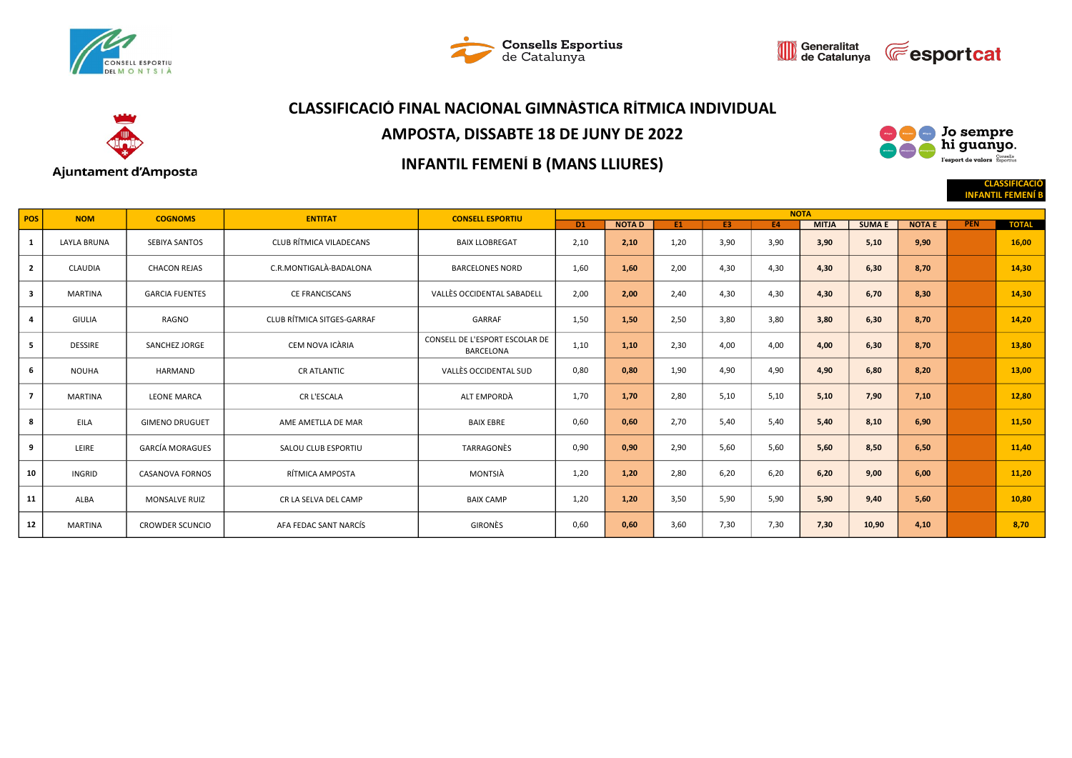







## CLASSIFICACIÓ FINAL NACIONAL GIMNÀSTICA RÍTMICA INDIVIDUAL

### AMPOSTA, DISSABTE 18 DE JUNY DE 2022

#### ) Jo sempre<br>, hi guanyo.  $N_{\rm RQd}$ esport de valors<br>Supervalors de l'esportius

CLASSIFICACIÓ **INFANTIL FEM** 

#### Ajuntament d'Amposta

## INFANTIL FEMENÍ B (MANS LLIURES)

| <b>NOM</b><br>POS |                    | <b>COGNOMS</b>         | <b>ENTITAT</b>             | <b>CONSELL ESPORTIU</b>                            | <b>NOTA</b> |              |           |      |           |              |               |               |            |              |  |  |
|-------------------|--------------------|------------------------|----------------------------|----------------------------------------------------|-------------|--------------|-----------|------|-----------|--------------|---------------|---------------|------------|--------------|--|--|
|                   |                    |                        |                            |                                                    | <b>D1</b>   | <b>NOTAD</b> | <b>E1</b> | E3   | <b>E4</b> | <b>MITJA</b> | <b>SUMA E</b> | <b>NOTA E</b> | <b>PEN</b> | <b>TOTAL</b> |  |  |
| 1                 | <b>LAYLA BRUNA</b> | SEBIYA SANTOS          | CLUB RÍTMICA VILADECANS    | <b>BAIX LLOBREGAT</b>                              | 2,10        | 2,10         | 1,20      | 3,90 | 3,90      | 3,90         | 5,10          | 9,90          |            | 16,00        |  |  |
| $\overline{2}$    | <b>CLAUDIA</b>     | <b>CHACON REJAS</b>    | C.R.MONTIGALÀ-BADALONA     | <b>BARCELONES NORD</b>                             | 1,60        | 1,60         | 2,00      | 4,30 | 4,30      | 4,30         | 6,30          | 8,70          |            | 14,30        |  |  |
| 3                 | <b>MARTINA</b>     | <b>GARCIA FUENTES</b>  | <b>CE FRANCISCANS</b>      | VALLÈS OCCIDENTAL SABADELL                         | 2,00        | 2,00         | 2,40      | 4,30 | 4,30      | 4,30         | 6,70          | 8,30          |            | 14,30        |  |  |
| 4                 | <b>GIULIA</b>      | RAGNO                  | CLUB RÍTMICA SITGES-GARRAF | GARRAF                                             | 1,50        | 1,50         | 2,50      | 3,80 | 3,80      | 3,80         | 6,30          | 8,70          |            | 14,20        |  |  |
| 5                 | <b>DESSIRE</b>     | SANCHEZ JORGE          | CEM NOVA ICÀRIA            | CONSELL DE L'ESPORT ESCOLAR DE<br><b>BARCELONA</b> | 1,10        | 1,10         | 2,30      | 4,00 | 4,00      | 4,00         | 6,30          | 8,70          |            | 13,80        |  |  |
| 6                 | <b>NOUHA</b>       | HARMAND                | <b>CRATLANTIC</b>          | VALLÈS OCCIDENTAL SUD                              | 0,80        | 0,80         | 1,90      | 4,90 | 4,90      | 4,90         | 6,80          | 8,20          |            | 13,00        |  |  |
| $\overline{7}$    | <b>MARTINA</b>     | <b>LEONE MARCA</b>     | CR L'ESCALA                | ALT EMPORDÀ                                        | 1,70        | 1,70         | 2,80      | 5,10 | 5,10      | 5,10         | 7,90          | 7,10          |            | 12,80        |  |  |
| 8                 | EILA               | <b>GIMENO DRUGUET</b>  | AME AMETLLA DE MAR         | <b>BAIX EBRE</b>                                   | 0,60        | 0,60         | 2,70      | 5,40 | 5,40      | 5,40         | 8,10          | 6,90          |            | 11,50        |  |  |
| 9                 | LEIRE              | <b>GARCÍA MORAGUES</b> | SALOU CLUB ESPORTIU        | TARRAGONÈS                                         | 0,90        | 0,90         | 2,90      | 5,60 | 5,60      | 5,60         | 8,50          | 6,50          |            | 11,40        |  |  |
| 10                | <b>INGRID</b>      | <b>CASANOVA FORNOS</b> | RÍTMICA AMPOSTA            | MONTSIÀ                                            | 1,20        | 1,20         | 2,80      | 6,20 | 6,20      | 6,20         | 9,00          | 6,00          |            | 11,20        |  |  |
| 11                | ALBA               | <b>MONSALVE RUIZ</b>   | CR LA SELVA DEL CAMP       | <b>BAIX CAMP</b>                                   | 1,20        | 1,20         | 3,50      | 5,90 | 5,90      | 5,90         | 9,40          | 5,60          |            | 10,80        |  |  |
| 12                | <b>MARTINA</b>     | <b>CROWDER SCUNCIO</b> | AFA FEDAC SANT NARCÍS      | <b>GIRONÈS</b>                                     | 0,60        | 0,60         | 3,60      | 7,30 | 7,30      | 7,30         | 10,90         | 4,10          |            | 8,70         |  |  |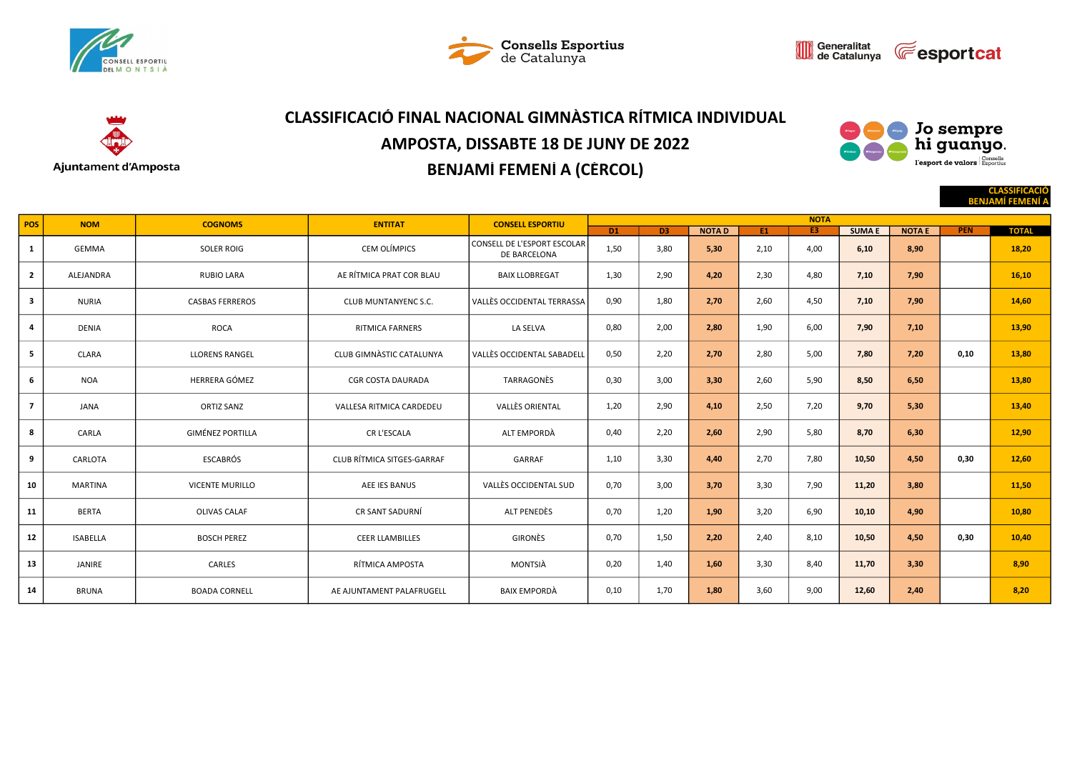







# CLASSIFICACIÓ FINAL NACIONAL GIMNÀSTICA RÍTMICA INDIVIDUAL AMPOSTA, DISSABTE 18 DE JUNY DE 2022 BENJAMÍ FEMENÍ A (CÈRCOL)



CLASSIFICACIÓ

|                |                 |                         |                             |                                             |                |      |              |      |                |              |               |            | <b>BENJAMI FEMENI A</b> |
|----------------|-----------------|-------------------------|-----------------------------|---------------------------------------------|----------------|------|--------------|------|----------------|--------------|---------------|------------|-------------------------|
| <b>POS</b>     | <b>NOM</b>      | <b>COGNOMS</b>          | <b>ENTITAT</b>              | <b>CONSELL ESPORTIU</b>                     |                |      |              |      |                |              |               |            |                         |
|                |                 |                         |                             |                                             | D <sub>1</sub> | D3   | <b>NOTAD</b> | E1   | E <sub>3</sub> | <b>SUMAE</b> | <b>NOTA E</b> | <b>PEN</b> | <b>TOTAL</b>            |
| 1              | GEMMA           | <b>SOLER ROIG</b>       | CEM OLÍMPICS                | CONSELL DE L'ESPORT ESCOLAR<br>DE BARCELONA | 1,50           | 3,80 | 5,30         | 2,10 | 4,00           | 6,10         | 8,90          |            | 18,20                   |
| $\overline{2}$ | ALEJANDRA       | <b>RUBIO LARA</b>       | AE RÍTMICA PRAT COR BLAU    | <b>BAIX LLOBREGAT</b>                       | 1,30           | 2,90 | 4,20         | 2,30 | 4,80           | 7,10         | 7,90          |            | 16,10                   |
| 3              | <b>NURIA</b>    | <b>CASBAS FERREROS</b>  | <b>CLUB MUNTANYENC S.C.</b> | VALLÈS OCCIDENTAL TERRASSA                  | 0,90           | 1,80 | 2,70         | 2,60 | 4,50           | 7,10         | 7,90          |            | 14,60                   |
| $\overline{a}$ | <b>DENIA</b>    | <b>ROCA</b>             | <b>RITMICA FARNERS</b>      | LA SELVA                                    | 0,80           | 2,00 | 2,80         | 1,90 | 6,00           | 7,90         | 7,10          |            | 13,90                   |
| 5              | <b>CLARA</b>    | <b>LLORENS RANGEL</b>   | CLUB GIMNASTIC CATALUNYA    | <b>VALLÈS OCCIDENTAL SABADELI</b>           | 0,50           | 2,20 | 2,70         | 2,80 | 5,00           | 7,80         | 7,20          | 0,10       | 13,80                   |
| 6              | <b>NOA</b>      | HERRERA GÓMEZ           | <b>CGR COSTA DAURADA</b>    | TARRAGONÈS                                  | 0,30           | 3,00 | 3,30         | 2,60 | 5,90           | 8,50         | 6,50          |            | 13,80                   |
| $\overline{7}$ | JANA            | <b>ORTIZ SANZ</b>       | VALLESA RITMICA CARDEDEU    | <b>VALLÈS ORIENTAL</b>                      | 1,20           | 2,90 | 4,10         | 2,50 | 7,20           | 9,70         | 5,30          |            | 13,40                   |
| 8              | CARLA           | <b>GIMÉNEZ PORTILLA</b> | CR L'ESCALA                 | ALT EMPORDÀ                                 | 0,40           | 2,20 | 2,60         | 2,90 | 5,80           | 8,70         | 6,30          |            | 12,90                   |
| 9              | CARLOTA         | <b>ESCABRÓS</b>         | CLUB RÍTMICA SITGES-GARRAF  | GARRAF                                      | 1,10           | 3,30 | 4,40         | 2,70 | 7,80           | 10,50        | 4,50          | 0,30       | 12,60                   |
| 10             | <b>MARTINA</b>  | <b>VICENTE MURILLO</b>  | AEE IES BANUS               | VALLÈS OCCIDENTAL SUD                       | 0,70           | 3,00 | 3,70         | 3,30 | 7,90           | 11,20        | 3,80          |            | 11,50                   |
| 11             | <b>BERTA</b>    | <b>OLIVAS CALAF</b>     | CR SANT SADURNÍ             | ALT PENEDÈS                                 | 0.70           | 1,20 | 1,90         | 3,20 | 6,90           | 10,10        | 4,90          |            | 10,80                   |
| 12             | <b>ISABELLA</b> | <b>BOSCH PEREZ</b>      | <b>CEER LLAMBILLES</b>      | GIRONÈS                                     | 0,70           | 1,50 | 2,20         | 2,40 | 8,10           | 10,50        | 4,50          | 0.30       | 10,40                   |
| 13             | JANIRE          | CARLES                  | RÍTMICA AMPOSTA             | MONTSIÀ                                     | 0,20           | 1,40 | 1,60         | 3,30 | 8,40           | 11,70        | 3,30          |            | 8,90                    |
| 14             | <b>BRUNA</b>    | <b>BOADA CORNELL</b>    | AE AJUNTAMENT PALAFRUGELL   | <b>BAIX EMPORDÀ</b>                         | 0,10           | 1,70 | 1,80         | 3,60 | 9,00           | 12,60        | 2,40          |            | 8.20                    |